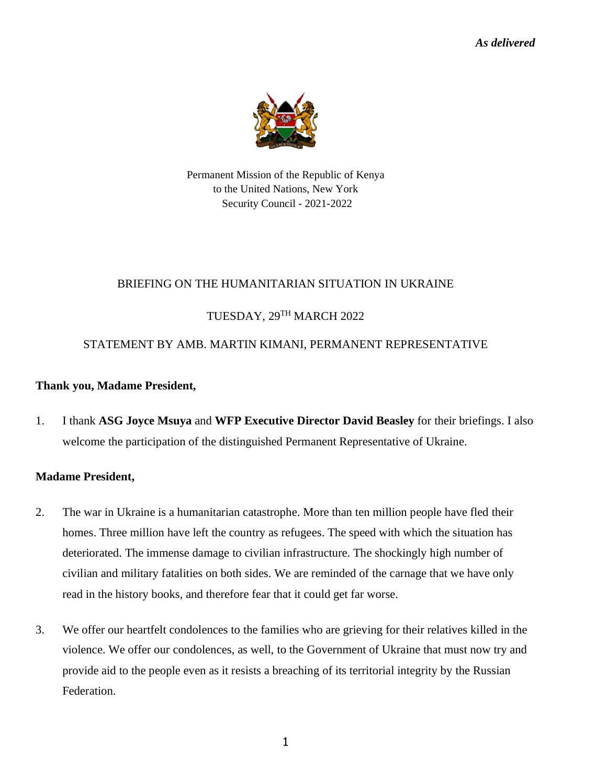*As delivered*



Permanent Mission of the Republic of Kenya to the United Nations, New York Security Council - 2021-2022

## BRIEFING ON THE HUMANITARIAN SITUATION IN UKRAINE

# TUESDAY, 29TH MARCH 2022

# STATEMENT BY AMB. MARTIN KIMANI, PERMANENT REPRESENTATIVE

### **Thank you, Madame President,**

1. I thank **ASG Joyce Msuya** and **WFP Executive Director David Beasley** for their briefings. I also welcome the participation of the distinguished Permanent Representative of Ukraine.

## **Madame President,**

- 2. The war in Ukraine is a humanitarian catastrophe. More than ten million people have fled their homes. Three million have left the country as refugees. The speed with which the situation has deteriorated. The immense damage to civilian infrastructure. The shockingly high number of civilian and military fatalities on both sides. We are reminded of the carnage that we have only read in the history books, and therefore fear that it could get far worse.
- 3. We offer our heartfelt condolences to the families who are grieving for their relatives killed in the violence. We offer our condolences, as well, to the Government of Ukraine that must now try and provide aid to the people even as it resists a breaching of its territorial integrity by the Russian Federation.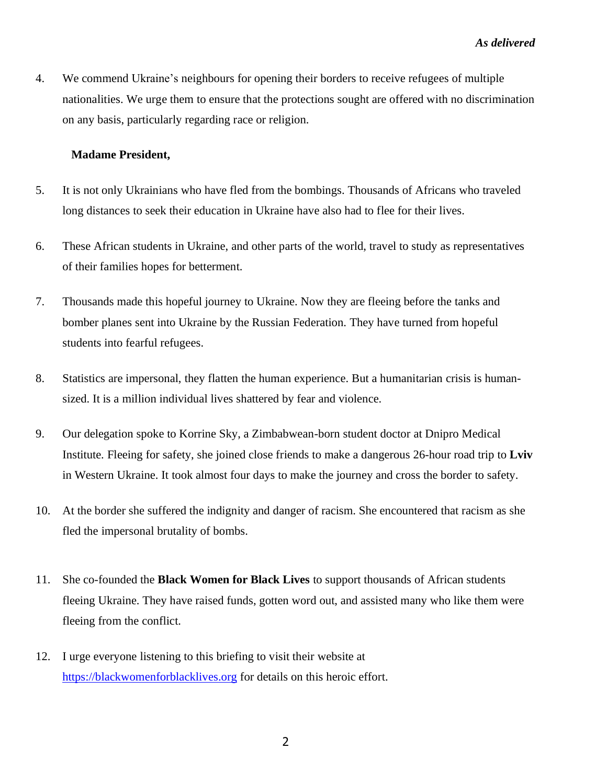4. We commend Ukraine's neighbours for opening their borders to receive refugees of multiple nationalities. We urge them to ensure that the protections sought are offered with no discrimination on any basis, particularly regarding race or religion.

#### **Madame President,**

- 5. It is not only Ukrainians who have fled from the bombings. Thousands of Africans who traveled long distances to seek their education in Ukraine have also had to flee for their lives.
- 6. These African students in Ukraine, and other parts of the world, travel to study as representatives of their families hopes for betterment.
- 7. Thousands made this hopeful journey to Ukraine. Now they are fleeing before the tanks and bomber planes sent into Ukraine by the Russian Federation. They have turned from hopeful students into fearful refugees.
- 8. Statistics are impersonal, they flatten the human experience. But a humanitarian crisis is humansized. It is a million individual lives shattered by fear and violence.
- 9. Our delegation spoke to Korrine Sky, a Zimbabwean-born student doctor at Dnipro Medical Institute. Fleeing for safety, she joined close friends to make a dangerous 26-hour road trip to **Lviv** in Western Ukraine. It took almost four days to make the journey and cross the border to safety.
- 10. At the border she suffered the indignity and danger of racism. She encountered that racism as she fled the impersonal brutality of bombs.
- 11. She co-founded the **Black Women for Black Lives** to support thousands of African students fleeing Ukraine. They have raised funds, gotten word out, and assisted many who like them were fleeing from the conflict.
- 12. I urge everyone listening to this briefing to visit their website at [https://blackwomenforblacklives.org](https://blackwomenforblacklives.org/) for details on this heroic effort.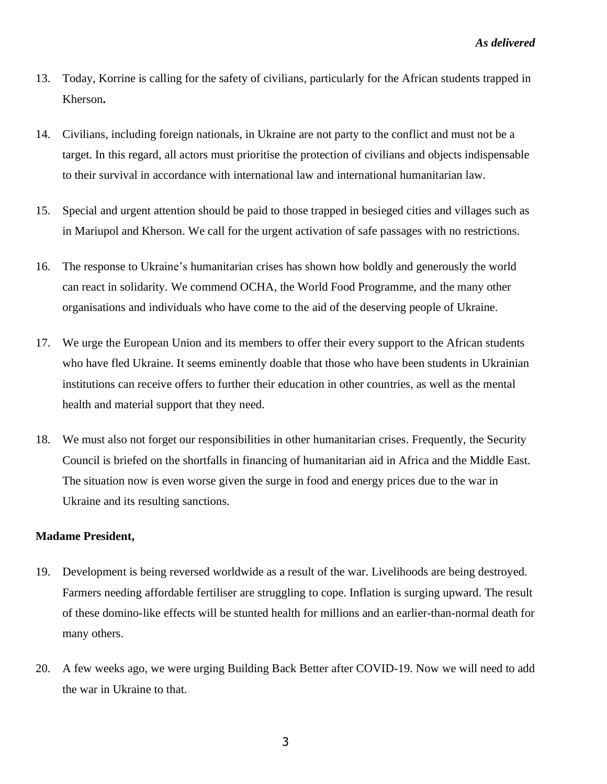- 13. Today, Korrine is calling for the safety of civilians, particularly for the African students trapped in Kherson**.**
- 14. Civilians, including foreign nationals, in Ukraine are not party to the conflict and must not be a target. In this regard, all actors must prioritise the protection of civilians and objects indispensable to their survival in accordance with international law and international humanitarian law.
- 15. Special and urgent attention should be paid to those trapped in besieged cities and villages such as in Mariupol and Kherson. We call for the urgent activation of safe passages with no restrictions.
- 16. The response to Ukraine's humanitarian crises has shown how boldly and generously the world can react in solidarity. We commend OCHA, the World Food Programme, and the many other organisations and individuals who have come to the aid of the deserving people of Ukraine.
- 17. We urge the European Union and its members to offer their every support to the African students who have fled Ukraine. It seems eminently doable that those who have been students in Ukrainian institutions can receive offers to further their education in other countries, as well as the mental health and material support that they need.
- 18. We must also not forget our responsibilities in other humanitarian crises. Frequently, the Security Council is briefed on the shortfalls in financing of humanitarian aid in Africa and the Middle East. The situation now is even worse given the surge in food and energy prices due to the war in Ukraine and its resulting sanctions.

#### **Madame President,**

- 19. Development is being reversed worldwide as a result of the war. Livelihoods are being destroyed. Farmers needing affordable fertiliser are struggling to cope. Inflation is surging upward. The result of these domino-like effects will be stunted health for millions and an earlier-than-normal death for many others.
- 20. A few weeks ago, we were urging Building Back Better after COVID-19. Now we will need to add the war in Ukraine to that.